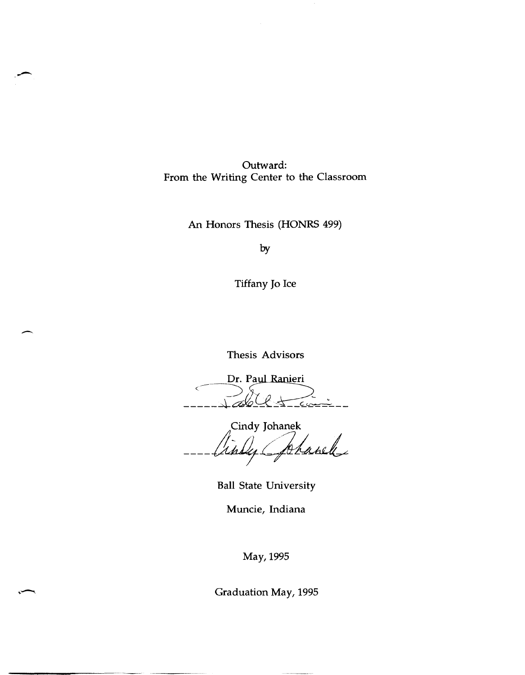Outward: From the Writing Center to the Classroom

An Honors Thesis (HONRS 499)

by

Tiffany Jo Ice

Thesis Advisors

-

Dr. Paul Ranieri  $\triangle\angle\pm\angle$ 

Cindy Johanek Lanel Uns

Ball State University

Muncie, Indiana

May, 1995

Graduation May, 1995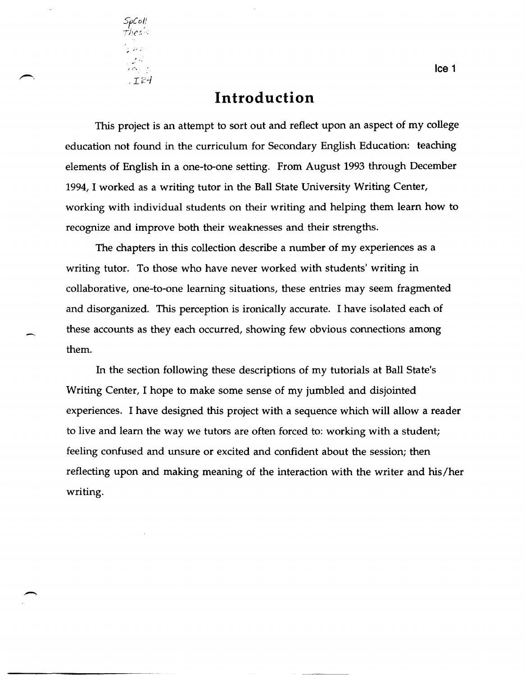

### **Introduction**

This project is an attempt to sort out and reflect upon an aspect of my college education not found in the curriculum for Secondary English Education: teaching elements of English in a one-to-one setting. From August 1993 through December 1994, I worked as a writing tutor in the Ball State University Writing Center, working with individual students on their writing and helping them learn how to recognize and improve both their weaknesses and their strengths.

The chapters in this collection describe a number of my experiences as a writing tutor. To those who have never worked with students' writing in collaborative, one-to-one learning situations, these entries may seem fragmented and disorganized. This perception is ironically accurate. I have isolated each of these accounts as they each occurred, showing few obvious connections among them.

In the section following these descriptions of my tutorials at Ball State's Writing Center, I hope to make some sense of my jumbled and disjointed experiences. I have designed this project with a sequence which will allow a reader to live and learn the way we tutors are often forced to: working with a student; feeling confused and unsure or excited and confident about the session; then reflecting upon and making meaning of the interaction with the writer and his/her writing.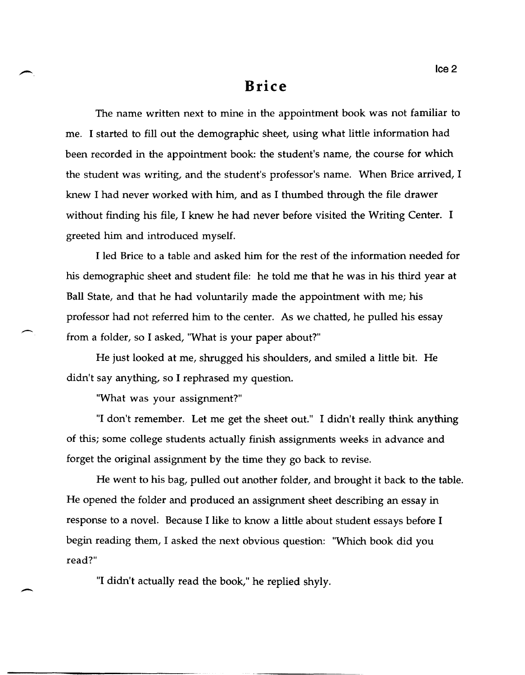### **Brice**

The name written next to mine in the appointment book was not familiar to me. I started to fill out the demographic sheet, using what little information had been recorded in the appointment book: the student's name, the course for which the student was writing, and the student's professor's name. When Brice arrived, I knew I had never worked with him, and as I thumbed through the file drawer without finding his file, I knew he had never before visited the Writing Center. I greeted him and introduced myself.

I led Brice to a table and asked him for the rest of the information needed for his demographic sheet and student file: he told me that he was in his third year at Ball State, and that he had voluntarily made the appointment with me; his professor had not referred him to the center. As we chatted, he pulled his essay from a folder, so I asked, "What is your paper about?"

He just looked at me, shrugged his shoulders, and smiled a little bit. He didn't say anything, so I rephrased my question.

"What was your assignment?"

 $\overline{\phantom{a}}$ 

"I don't remember. Let me get the sheet out." I didn't really think anything of this; some college students actually finish assignments weeks in advance and forget the original assignment by the time they go back to revise.

He went to his bag, pulled out another folder, and brought it back to the table. He opened the folder and produced an assignment sheet describing an essay in response to a novel. Because I like to know a little about student essays before I begin reading them, I asked the next obvious question: "Which book did you read?"

"I didn't actually read the book," he replied shyly.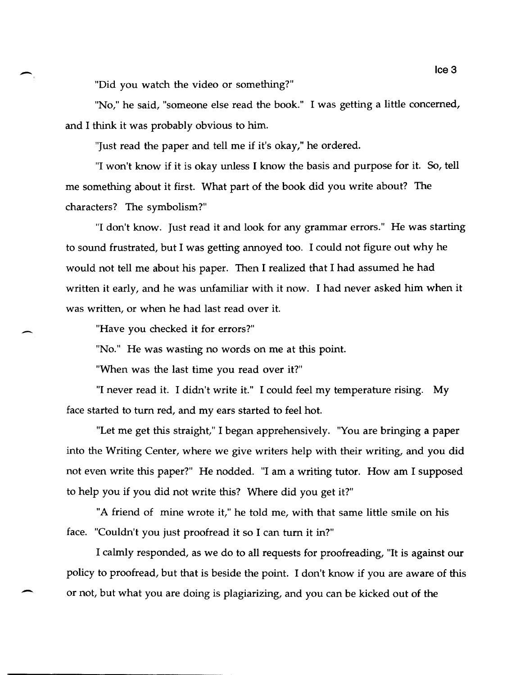"Did you watch the video or something?"

-

-

-

"No," he said, "someone else read the book." I was getting a little concerned, and I think it was probably obvious to him.

"Just read the paper and tell me if it's okay," he ordered.

"I won't know if it is okay unless I know the basis and purpose for it. So, tell me something about it first. What part of the book did you write about? The characters? The symbolism?"

"I don't know. Just read it and look for any grammar errors." He was starting to sound frustrated, but I was getting annoyed too. I could not figure out why he would not tell me about his paper. Then I realized that I had assumed he had written it early, and he was unfamiliar with it now. I had never asked him when it was written, or when he had last read over it.

"Have you checked it for errors?"

"No." He was wasting no words on me at this point.

"When was the last time you read over it?"

"I never read it. I didn't write it." I could feel my temperature rising. My face started to turn red, and my ears started to feel hot.

"Let me get this straight," I began apprehensively. "You are bringing a paper into the Writing Center, where we give writers help with their writing, and you did not even write this paper?" He nodded. "I am a writing tutor. How am I supposed to help you if you did not write this? Where did you get it?"

"A friend of mine wrote it," he told me, with that same little smile on his face. "Couldn't you just proofread it so I can turn it in?"

I calmly responded, as we do to all requests for proofreading, "It is against our policy to proofread, but that is beside the point. I don't know if you are aware of this or not, but what you are doing is plagiarizing, and you can be kicked out of the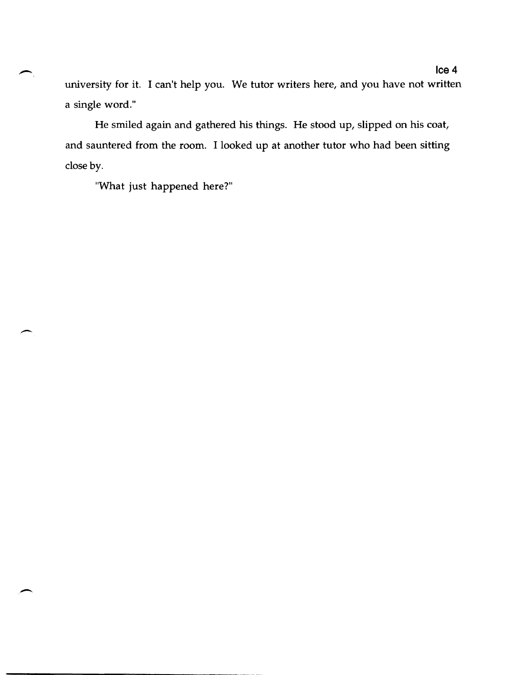university for it. I can't help you. We tutor writers here, and you have not written a single word."

He smiled again and gathered his things. He stood up, slipped on his coat, and sauntered from the room. I looked up at another tutor who had been sitting close by.

"What just happened here?"

--------------------- -~--~.---~~---------~

 $\overline{\phantom{0}}$ 

-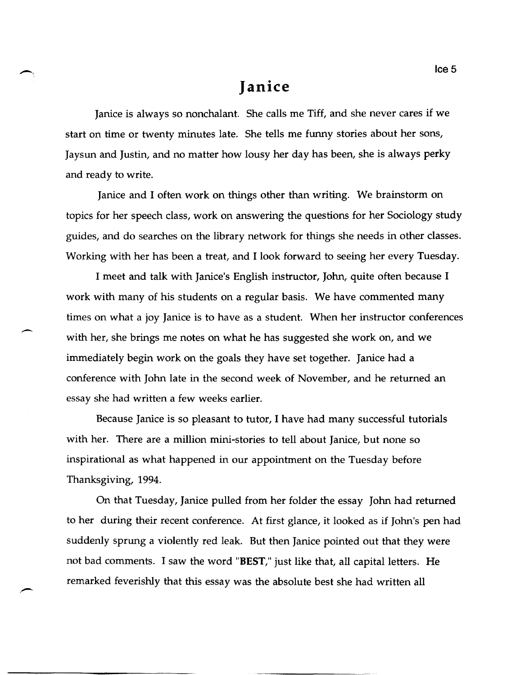# **Janice**

Janice is always so nonchalant. She calls me Tiff, and she never cares if we start on time or twenty minutes late. She tells me funny stories about her sons, Jaysun and Justin, and no matter how lousy her day has been, she is always perky and ready to write.

Janice and I often work on things other than writing. We brainstorm on topics for her speech class, work on answering the questions for her Sociology study guides, and do searches on the library network for things she needs in other classes. Working with her has been a treat, and I look forward to seeing her every Tuesday.

I meet and talk with Janice's English instructor, John, quite often because I work with many of his students on a regular basis. We have commented many times on what a joy Janice is to have as a student. When her instructor conferences with her, she brings me notes on what he has suggested she work on, and we immediately begin work on the goals they have set together. Janice had a conference with John late in the second week of November, and he returned an essay she had written a few weeks earlier.

 $\overline{\phantom{0}}$ 

Because Janice is so pleasant to tutor, I have had many successful tutorials with her. There are a million mini-stories to tell about Janice, but none so inspirational as what happened in our appointment on the Tuesday before Thanksgiving, 1994.

On that Tuesday, Janice pulled from her folder the essay John had returned to her during their recent conference. At first glance, it looked as if John's pen had suddenly sprung a violently red leak. But then Janice pointed out that they were not bad comments. I saw the word "BEST," just like that, all capital letters. He remarked feverishly that this essay was the absolute best she had written all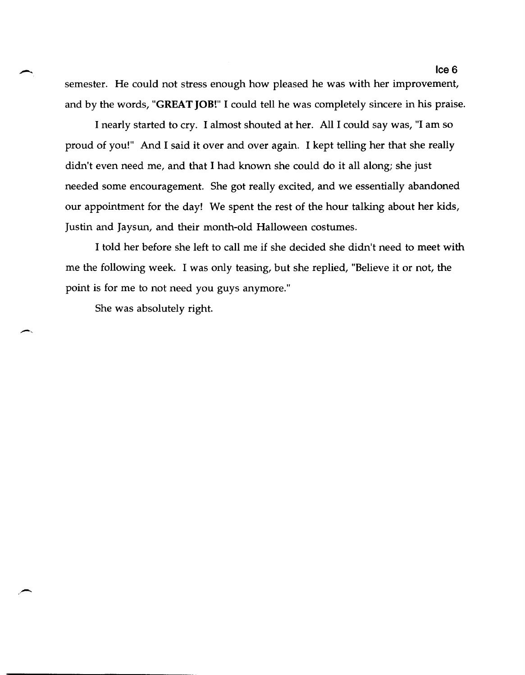semester. He could not stress enough how pleased he was with her improvement, and by the words, "GREAT JOB!" I could tell he was completely sincere in his praise.

I nearly started to cry. I almost shouted at her. All I could say was, "I am so proud of you!" And I said it over and over again. I kept telling her that she really didn't even need me, and that I had known she could do it all along; she just needed some encouragement. She got really excited, and we essentially abandoned our appointment for the day! We spent the rest of the hour talking about her kids, Justin and Jaysun, and their month-old Halloween costumes.

I told her before she left to call me if she decided she didn't need to meet with me the following week. I was only teasing, but she replied, "Believe it or not, the point is for me to not need you guys anymore."

She was absolutely right.

 $\overline{\phantom{a}}$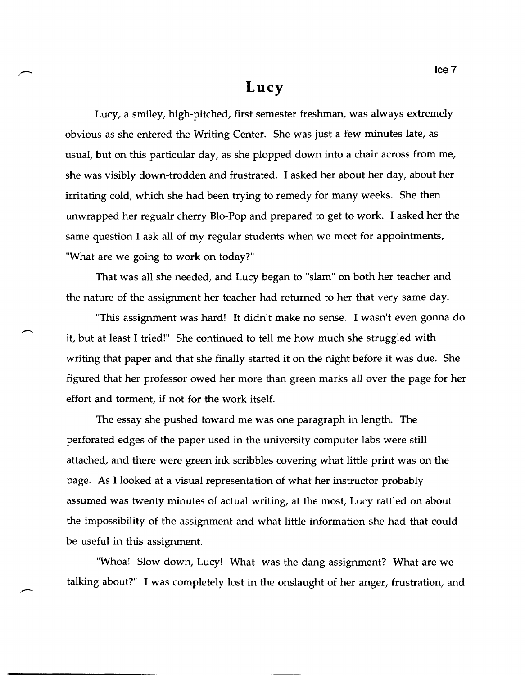#### **Lucy**

Lucy, a smiley, high-pitched, first semester freshman, was always extremely obvious as she entered the Writing Center. She was just a few minutes late, as usual, but on this particular day, as she plopped down into a chair across from me, she was visibly down-trodden and frustrated. I asked her about her day, about her irritating cold, which she had been trying to remedy for many weeks. She then unwrapped her regualr cherry Blo-Pop and prepared to get to work. I asked her the same question I ask all of my regular students when we meet for appointments, "What are we going to work on today?"

That was all she needed, and Lucy began to "slam" on both her teacher and the nature of the assignment her teacher had returned to her that very same day.

-

"This assignment was hard! It didn't make no sense. I wasn't even gonna do it, but at least I tried!" She continued to tell me how much she struggled with writing that paper and that she finally started it on the night before it was due. She figured that her professor owed her more than green marks all over the page for her effort and torment, if not for the work itself.

The essay she pushed toward me was one paragraph in length. The perforated edges of the paper used in the university computer labs were still attached, and there were green ink scribbles covering what little print was on the page. As I looked at a visual representation of what her instructor probably assumed was twenty minutes of actual writing, at the most, Lucy rattled on about the impossibility of the assignment and what little information she had that could be useful in this assignment.

"Whoa! Slow down, Lucy! What was the dang assignment? What are we talking about?" I was completely lost in the onslaught of her anger, frustration, and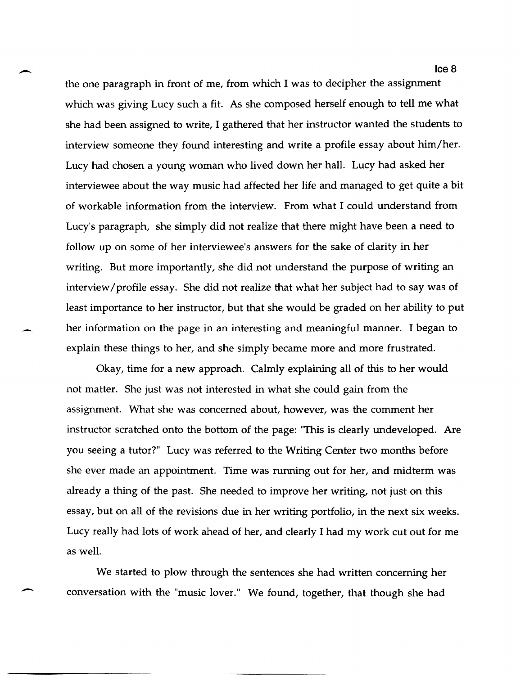the one paragraph in front of me, from which I was to decipher the assignment which was giving Lucy such a fit. As she composed herself enough to tell me what she had been assigned to write, I gathered that her instructor wanted the students to interview someone they found interesting and write a profile essay about him/her. Lucy had chosen a young woman who lived down her hall. Lucy had asked her interviewee about the way music had affected her life and managed to get quite a bit of workable information from the interview. From what I could understand from Lucy's paragraph, she simply did not realize that there might have been a need to follow up on some of her interviewee's answers for the sake of clarity in her writing. But more importantly, she did not understand the purpose of writing an interview /profile essay. She did not realize that what her subject had to say was of least importance to her instructor, but that she would be graded on her ability to put her information on the page in an interesting and meaningful manner. I began to explain these things to her, and she simply became more and more frustrated.

Okay, time for a new approach. Calmly explaining all of this to her would not matter. She just was not interested in what she could gain from the assignment. What she was concerned about, however, was the comment her instructor scratched onto the bottom of the page: "This is clearly undeveloped. Are you seeing a tutor?" Lucy was referred to the Writing Center two months before she ever made an appointment. Time was running out for her, and midterm was already a thing of the past. She needed to improve her writing, not just on this essay, but on all of the revisions due in her writing portfolio, in the next six weeks. Lucy really had lots of work ahead of her, and clearly I had my work cut out for me as well.

We started to plow through the sentences she had written concerning her conversation with the "music lover." We found, together, that though she had

 $\overline{\phantom{a}}$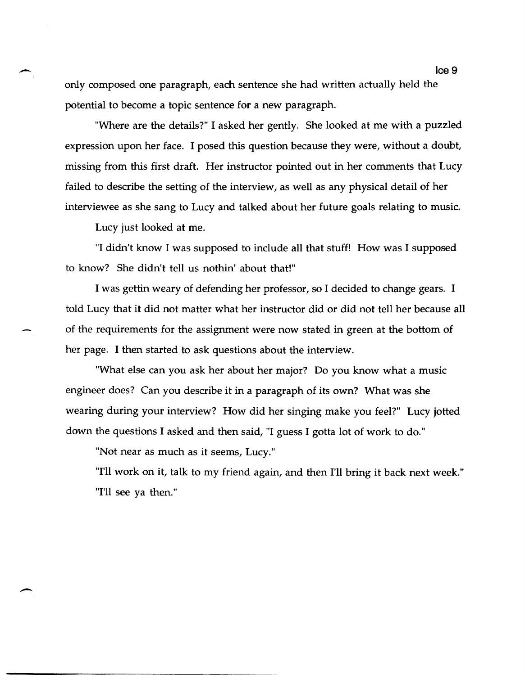only composed one paragraph, each sentence she had written actually held the potential to become a topic sentence for a new paragraph.

"Where are the details?" I asked her gently. She looked at me with a puzzled expression upon her face. I posed this question because they were, without a doubt, missing from this first draft. Her instructor pointed out in her comments that Lucy failed to describe the setting of the interview, as well as any physical detail of her interviewee as she sang to Lucy and talked about her future goals relating to music.

Lucy just looked at me.

-

-

"I didn't know I was supposed to include all that stuff! How was I supposed to know? She didn't tell us nothin' about that!"

I was gettin weary of defending her professor, so I decided to change gears. I told Lucy that it did not matter what her instructor did or did not tell her because all of the requirements for the assignment were now stated in green at the bottom of her page. I then started to ask questions about the interview.

"What else can you ask her about her major? Do you know what a music engineer does? Can you describe it in a paragraph of its own? What was she wearing during your interview? How did her singing make you feel?" Lucy jotted down the questions I asked and then said, "I guess I gotta lot of work to do."

"Not near as much as it seems, Lucy."

"I'll work on it, talk to my friend again, and then I'll bring it back next week." "I'll see ya then."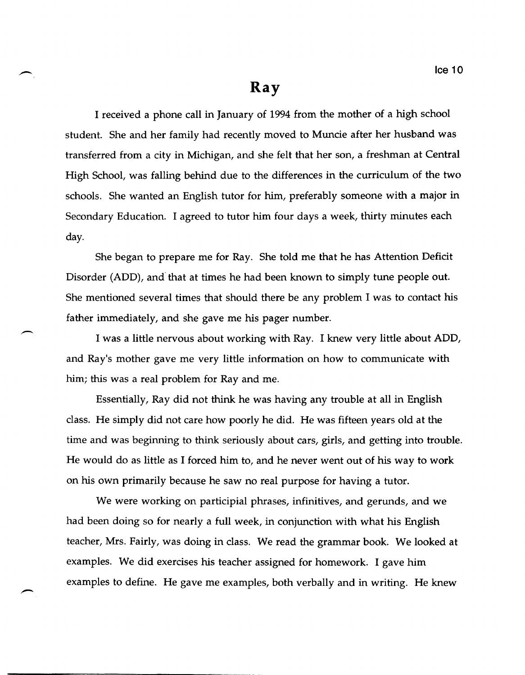#### **Ray**

I received a phone call in January of 1994 from the mother of a high school student. She and her family had recently moved to Muncie after her husband was transferred from a city in Michigan, and she felt that her son, a freshman at Central High School, was falling behind due to the differences in the curriculum of the two schools. She wanted an English tutor for him, preferably someone with a major in Secondary Education. I agreed to tutor him four days a week, thirty minutes each day.

She began to prepare me for Ray. She told me that he has Attention Deficit Disorder (ADD), and that at times he had been known to simply tune people out. She mentioned several times that should there be any problem I was to contact his father immediately, and she gave me his pager number.

I was a little nervous about working with Ray. I knew very little about ADD, and Ray's mother gave me very little information on how to communicate with him; this was a real problem for Ray and me.

Essentially, Ray did not think he was having any trouble at all in English class. He simply did not care how poorly he did. He was fifteen years old at the time and was beginning to think seriously about cars, girls, and getting into trouble. He would do as little as I forced him to, and he never went out of his way to work on his own primarily because he saw no real purpose for having a tutor.

We were working on participial phrases, infinitives, and gerunds, and we had been doing so for nearly a full week, in conjunction with what his English teacher, Mrs. Fairly, was doing in class. We read the grammar book. We looked at examples. We did exercises his teacher assigned for homework. I gave him examples to define. He gave me examples, both verbally and in writing. He knew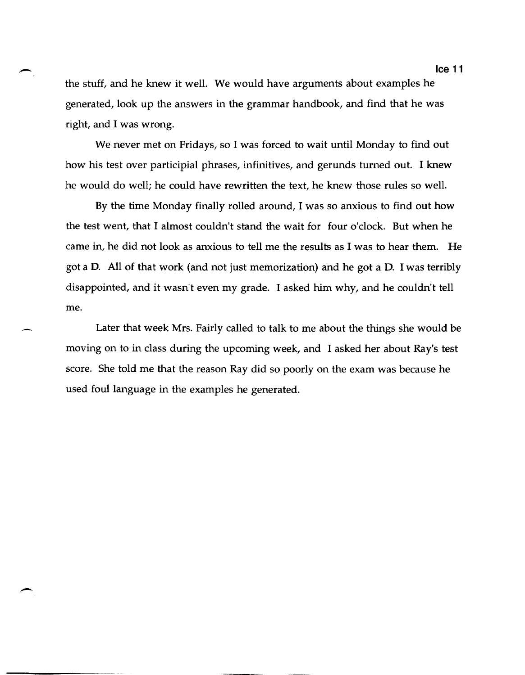the stuff, and he knew it well. We would have arguments about examples he generated, look up the answers in the grammar handbook, and find that he was right, and I was wrong.

-

 $\overline{\phantom{0}}$ 

We never met on Fridays, so I was forced to wait until Monday to find out how his test over participial phrases, infinitives, and gerunds turned out. I knew he would do well; he could have rewritten the text, he knew those rules so welL

By the time Monday finally rolled around, I was so anxious to find out how the test went, that I almost couldn't stand the wait for four o'clock. But when he came in, he did not look as anxious to tell me the results as I was to hear them. He got a D. All of that work (and not just memorization) and he got a D. I was terribly disappointed, and it wasn't even my grade. I asked him why, and he couldn't tell me.

Later that week Mrs. Fairly called to talk to me about the things she would be moving on to in class during the upcoming week, and I asked her about Ray's test score. She told me that the reason Ray did so poorly on the exam was because he used foul language in the examples he generated.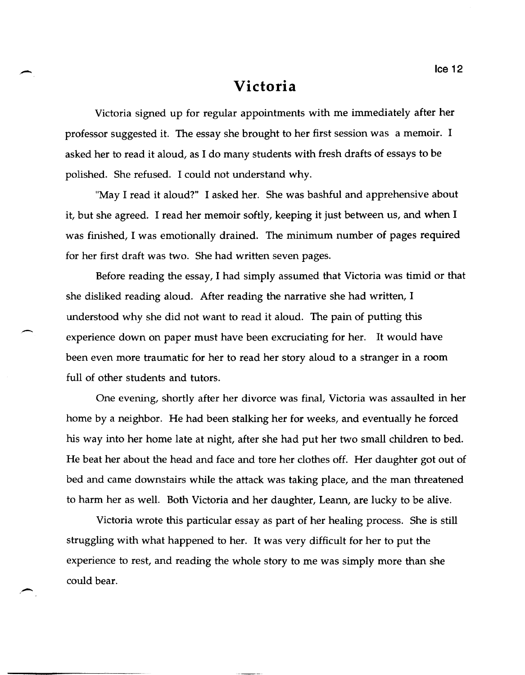## **Victoria**

Victoria signed up for regular appointments with me immediately after her professor suggested it. The essay she brought to her first session was a memoir. I asked her to read it aloud, as I do many students with fresh drafts of essays to be polished. She refused. I could not understand why.

"May I read it aloud?" I asked her. She was bashful and apprehensive about it, but she agreed. I read her memoir softly, keeping it just between us, and when I was finished, I was emotionally drained. The minimum number of pages required for her first draft was two. She had written seven pages.

Before reading the essay, I had simply assumed that Victoria was timid or that she disliked reading aloud. After reading the narrative she had written, I understood why she did not want to read it aloud. The pain of putting this experience down on paper must have been excruciating for her. It would have been even more traumatic for her to read her story aloud to a stranger in a room full of other students and tutors.

,-

One evening, shortly after her divorce was final, Victoria was assaulted in her home by a neighbor. He had been stalking her for weeks, and eventually he forced his way into her home late at night, after she had put her two small children to bed. He beat her about the head and face and tore her clothes off. Her daughter got out of bed and came downstairs while the attack was taking place, and the man threatened to harm her as well. Both Victoria and her daughter, Leann, are lucky to be alive.

Victoria wrote this particular essay as part of her healing process. She is still struggling with what happened to her. It was very difficult for her to put the experience to rest, and reading the whole story to me was simply more than she could bear.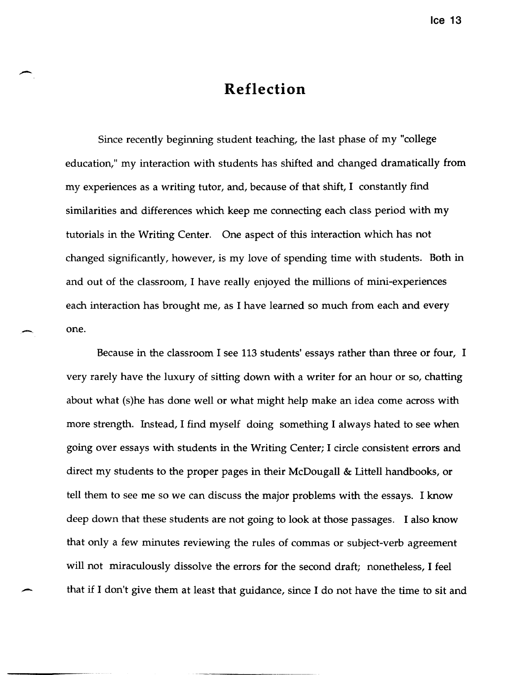# **Reflection**

Since recently beginning student teaching, the last phase of my "college education," my interaction with students has shifted and changed dramatically from my experiences as a writing tutor, and, because of that shift, I constantly find similarities and differences which keep me connecting each class period with my tutorials in the Writing Center. One aspect of this interaction which has not changed significantly, however, is my love of spending time with students. Both in and out of the classroom, I have really enjoyed the millions of mini-experiences each interaction has brought me, as I have learned so much from each and every one.

Because in the classroom I see 113 students' essays rather than three or four, I very rarely have the luxury of sitting down with a writer for an hour or so, chatting about what (s)he has done well or what might help make an idea come across with more strength. Instead, I find myself doing something I always hated to see when going over essays with students in the Writing Center; I circle consistent errors and direct my students to the proper pages in their McDougall & Littell handbooks, or tell them to see me so we can discuss the major problems with the essays. I know deep down that these students are not going to look at those passages. I also know that only a few minutes reviewing the rules of commas or subject-verb agreement will not miraculously dissolve the errors for the second draft; nonetheless, I feel that if I don't give them at least that guidance, since I do not have the time to sit and

------- -~---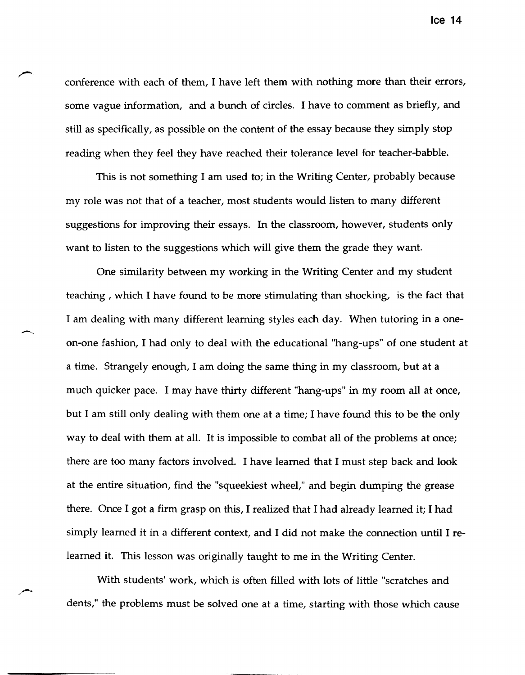conference with each of them, I have left them with nothing more than their errors, some vague information, and a bunch of circles. I have to comment as briefly, and still as specifically, as possible on the content of the essay because they simply stop reading when they feel they have reached their tolerance level for teacher-babble.

This is not something I am used to; in the Writing Center, probably because my role was not that of a teacher, most students would listen to many different suggestions for improving their essays. In the classroom, however, students only want to listen to the suggestions which will give them the grade they want.

 $\overline{\phantom{0}}$ 

One similarity between my working in the Writing Center and my student teaching, which I have found to be more stimulating than shocking, is the fact that I am dealing with many different learning styles each day. When tutoring in a oneon-one fashion, I had only to deal with the educational "hang-ups" of one student at a time. Strangely enough, I am doing the same thing in my classroom, but at a much quicker pace. I may have thirty different "hang-ups" in my room all at once, but I am still only dealing with them one at a time; I have found this to be the only way to deal with them at all. It is impossible to combat all of the problems at once; there are too many factors involved. I have learned that I must step back and look at the entire situation, find the "squeekiest wheel," and begin dumping the grease there. Once I got a firm grasp on this, I realized that I had already learned it; I had simply learned it in a different context, and I did not make the connection until I relearned it. This lesson was originally taught to me in the Writing Center.

With students' work, which is often filled with lots of little "scratches and dents," the problems must be solved one at a time, starting with those which cause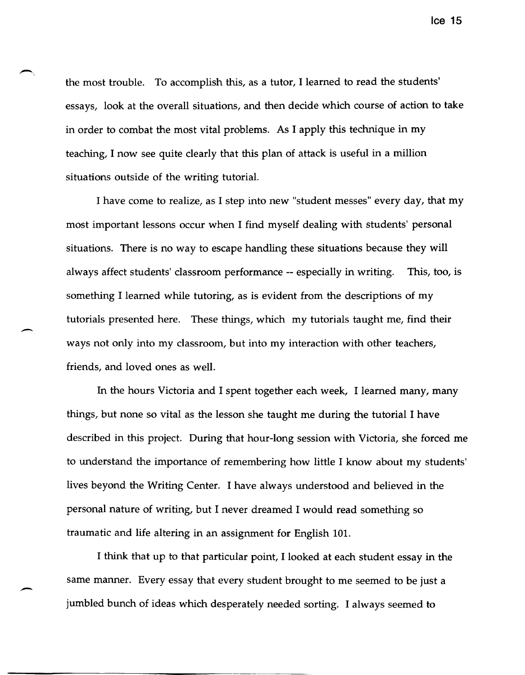the most trouble. To accomplish this, as a tutor, I learned to read the students' essays, look at the overall situations, and then decide which course of action to take in order to combat the most vital problems. As I apply this technique in my teaching, I now see quite clearly that this plan of attack is useful in a million situations outside of the writing tutorial.

I have come to realize, as I step into new "student messes" every day, that my most important lessons occur when I find myself dealing with students' personal situations. There is no way to escape handling these situations because they will always affect students' classroom performance -- especially in writing. This, too, is something I learned while tutoring, as is evident from the descriptions of my tutorials presented here. These things, which my tutorials taught me, find their ways not only into my classroom, but into my interaction with other teachers, friends, and loved ones as well.

--

In the hours Victoria and I spent together each week, I learned many, many things, but none so vital as the lesson she taught me during the tutorial I have described in this project. During that hour-long session with Victoria, she forced me to understand the importance of remembering how little I know about my students' lives beyond the Writing Center. I have always understood and believed in the personal nature of writing, but I never dreamed I would read something so traumatic and life altering in an assignment for English 101.

I think that up to that particular point, I looked at each student essay in the same manner. Every essay that every student brought to me seemed to be just a jumbled bunch of ideas which desperately needed sorting. I always seemed to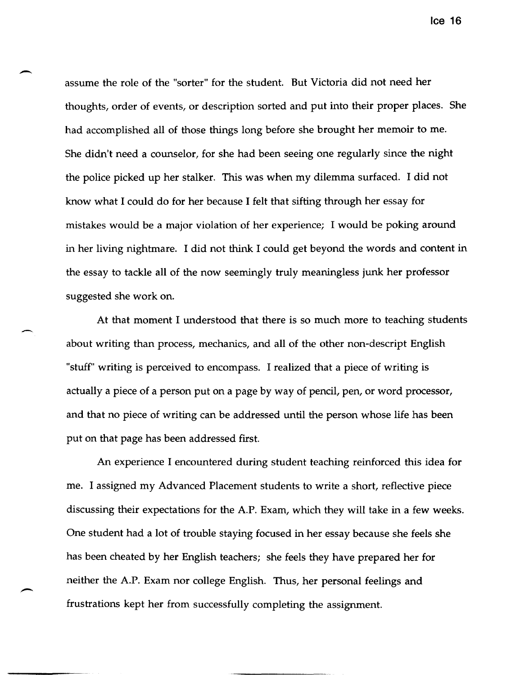assume the role of the "sorter" for the student. But Victoria did not need her thoughts, order of events, or description sorted and put into their proper places. She had accomplished all of those things long before she brought her memoir to me. She didn't need a counselor, for she had been seeing one regularly since the night the police picked up her stalker. This was when my dilemma surfaced. I did not know what I could do for her because I felt that sifting through her essay for mistakes would be a major violation of her experience; I would be poking around in her living nightmare. I did not think I could get beyond the words and content in the essay to tackle all of the now seemingly truly meaningless junk her professor suggested she work on.

 $\overline{\phantom{0}}$ 

-

At that moment I understood that there is so much more to teaching students about writing than process, mechanics, and all of the other non-descript English "stuff" writing is perceived to encompass. I realized that a piece of writing is actually a piece of a person put on a page by way of pencil, pen, or word processor, and that no piece of writing can be addressed until the person whose life has been put on that page has been addressed first.

An experience I encountered during student teaching reinforced this idea for me. I assigned my Advanced Placement students to write a short, reflective piece discussing their expectations for the A.P. Exam, which they will take in a few weeks. One student had a lot of trouble staying focused in her essay because she feels she has been cheated by her English teachers; she feels they have prepared her for neither the A.P. Exam nor college English. Thus, her personal feelings and frustrations kept her from successfully completing the assignment.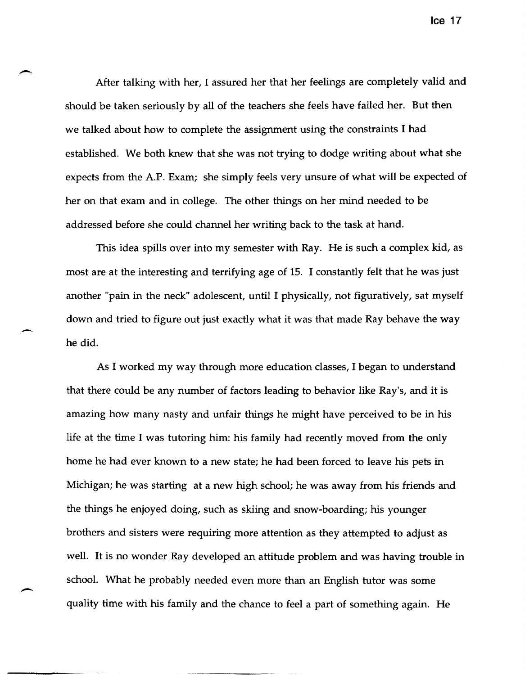After talking with her, I assured her that her feelings are completely valid and should be taken seriously by all of the teachers she feels have failed her. But then we talked about how to complete the assignment using the constraints I had established. We both knew that she was not trying to dodge writing about what she expects from the A.P. Exam; she simply feels very unsure of what will be expected of her on that exam and in college. The other things on her mind needed to be addressed before she could channel her writing back to the task at hand.

This idea spills over into my semester with Ray. He is such a complex kid, as most are at the interesting and terrifying age of 15. I constantly felt that he was just another "pain in the neck" adolescent, until I physically, not figuratively, sat myself down and tried to figure out just exactly what it was that made Ray behave the way he did.

-

As I worked my way through more education classes, I began to understand that there could be any number of factors leading to behavior like Ray's, and it is amazing how many nasty and unfair things he might have perceived to be in his life at the time I was tutoring him: his family had recently moved from the only home he had ever known to a new state; he had been forced to leave his pets in Michigan; he was starting at a new high school; he was away from his friends and the things he enjoyed doing, such as skiing and snow-boarding; his younger brothers and sisters were requiring more attention as they attempted to adjust as well. It is no wonder Ray developed an attitude problem and was having trouble in schooL What he probably needed even more than an English tutor was some quality time with his family and the chance to feel a part of something again. He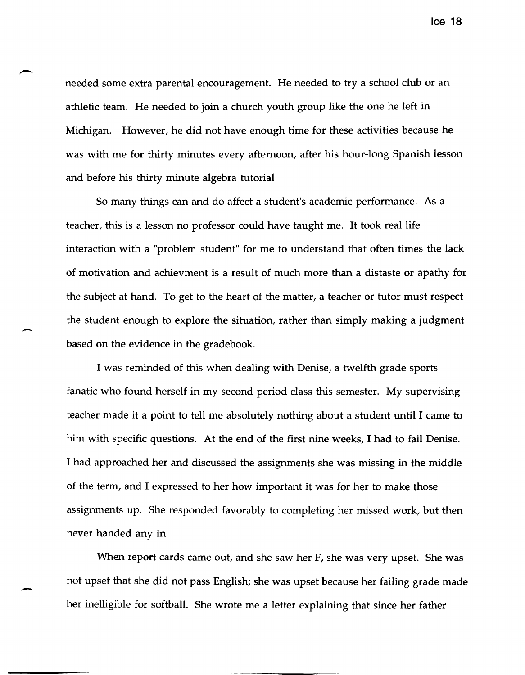needed some extra parental encouragement. He needed to try a school club or an athletic team. He needed to join a church youth group like the one he left in Michigan. However, he did not have enough time for these activities because he was with me for thirty minutes every afternoon, after his hour-long Spanish lesson and before his thirty minute algebra tutorial.

So many things can and do affect a student's academic performance. As a teacher, this is a lesson no professor could have taught me. It took real life interaction with a "problem student" for me to understand that often times the lack of motivation and achievment is a result of much more than a distaste or apathy for the subject at hand. To get to the heart of the matter, a teacher or tutor must respect the student enough to explore the situation, rather than simply making a judgment based on the evidence in the gradebook.

 $\overline{\phantom{0}}$ 

-

I was reminded of this when dealing with Denise, a twelfth grade sports fanatic who found herself in my second period class this semester. My supervising teacher made it a point to tell me absolutely nothing about a student until I came to him with specific questions. At the end of the first nine weeks, I had to fail Denise. I had approached her and discussed the assignments she was missing in the middle of the term, and I expressed to her how important it was for her to make those assignments up. She responded favorably to completing her missed work, but then never handed any in.

When report cards came out, and she saw her F, she was very upset. She was not upset that she did not pass English; she was upset because her failing grade made her inelligible for softball. She wrote me a letter explaining that since her father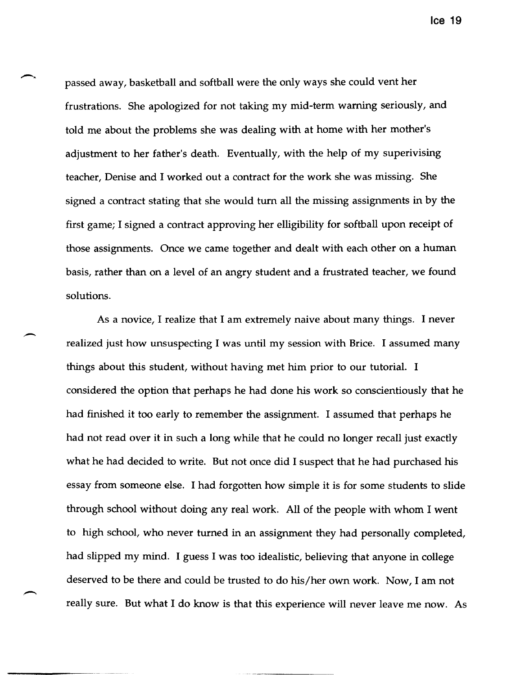passed away, basketball and softball were the only ways she could vent her frustrations. She apologized for not taking my mid-term warning seriously, and told me about the problems she was dealing with at home with her mother's adjustment to her father's death. Eventually, with the help of my superivising teacher, Denise and I worked out a contract for the work she was missing. She signed a contract stating that she would turn all the missing assignments in by the first game; I signed a contract approving her elligibility for softball upon receipt of those assignments. Once we came together and dealt with each other on a human basis, rather than on a level of an angry student and a frustrated teacher, we found solutions.

As a novice, I realize that I am extremely naive about many things. I never realized just how unsuspecting I was until my session with Brice. I assumed many things about this student, without having met him prior to our tutorial. I considered the option that perhaps he had done his work so conscientiously that he had finished it too early to remember the assignment. I assumed that perhaps he had not read over it in such a long while that he could no longer recall just exactly what he had decided to write. But not once did I suspect that he had purchased his essay from someone else. I had forgotten how simple it is for some students to slide through school without doing any real work. All of the people with whom I went to high school, who never turned in an assignment they had personally completed, had slipped my mind. I guess I was too idealistic, believing that anyone in college deserved to be there and could be trusted to do his/her own work. Now, I am not really sure. But what I do know is that this experience will never leave me now. As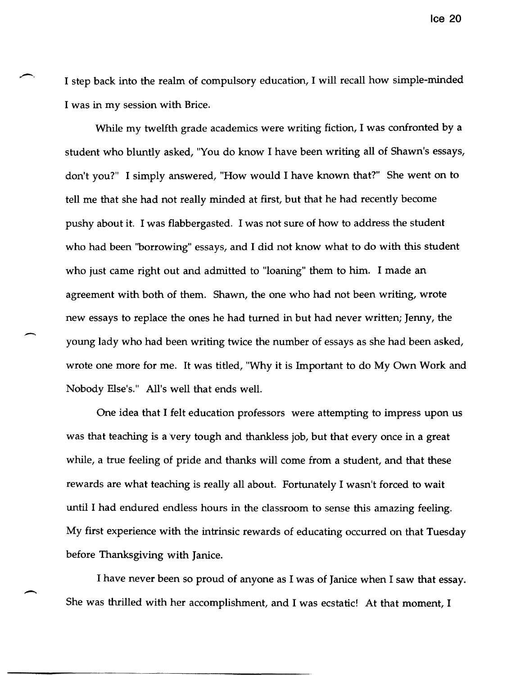I step back into the realm of compulsory education, I will recall how simple-minded I was in my session with Brice.

While my twelfth grade academics were writing fiction, I was confronted by a student who bluntly asked, "You do know I have been writing all of Shawn's essays, don't you?" I simply answered, "How would I have known that?" She went on to tell me that she had not really minded at first, but that he had recently become pushy about it. I was flabbergasted. I was not sure of how to address the student who had been ''borrowing'' essays, and I did not know what to do with this student who just came right out and admitted to "loaning" them to him. I made an agreement with both of them. Shawn, the one who had not been writing, wrote new essays to replace the ones he had turned in but had never written; Jenny, the young lady who had been writing twice the number of essays as she had been asked, wrote one more for me. It was titled, "Why it is Important to do My Own Work and Nobody Else's." All's well that ends well.

One idea that I felt education professors were attempting to impress upon us was that teaching is a very tough and thankless job, but that every once in a great while, a true feeling of pride and thanks will come from a student, and that these rewards are what teaching is really all about. Fortunately I wasn't forced to wait until I had endured endless hours in the classroom to sense this amazing feeling. My first experience with the intrinsic rewards of educating occurred on that Tuesday before Thanksgiving with Janice.

I have never been so proud of anyone as I was of Janice when I saw that essay. She was thrilled with her accomplishment, and I was ecstatic! At that moment, I

-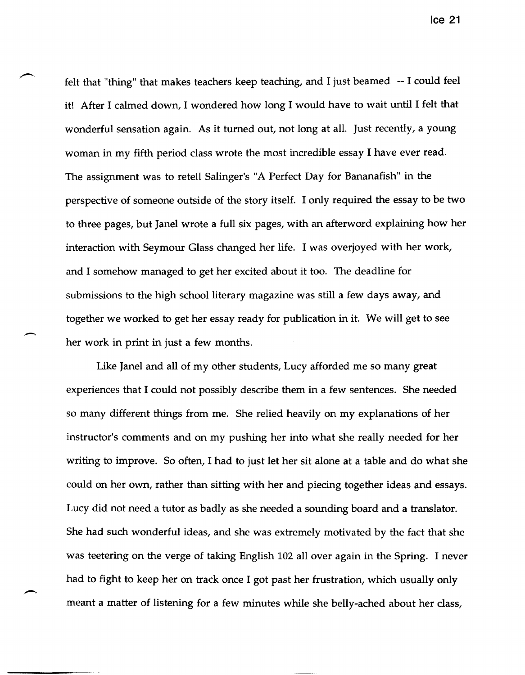felt that "thing" that makes teachers keep teaching, and I just beamed -- I could feel it! After I calmed down, I wondered how long I would have to wait until I felt that wonderful sensation again. As it turned out, not long at all. Just recently, a young woman in my fifth period class wrote the most incredible essay I have ever read. The assignment was to retell Salinger's "A Perfect Day for Bananafish" in the perspective of someone outside of the story itself. I only required the essay to be two to three pages, but Janel wrote a full six pages, with an afterword explaining how her interaction with Seymour Glass changed her life. I was overjoyed with her work, and I somehow managed to get her excited about it too. The deadline for submissions to the high school literary magazine was still a few days away, and together we worked to get her essay ready for publication in it. We will get to see her work in print in just a few months.

Like Janel and all of my other students, Lucy afforded me so many great experiences that I could not possibly describe them in a few sentences. She needed so many different things from me. She relied heavily on my explanations of her instructor's comments and on my pushing her into what she really needed for her writing to improve. So often, I had to just let her sit alone at a table and do what she could on her own, rather than sitting with her and piecing together ideas and essays. Lucy did not need a tutor as badly as she needed a sounding board and a translator. She had such wonderful ideas, and she was extremely motivated by the fact that she was teetering on the verge of taking English 102 all over again in the Spring. I never had to fight to keep her on track once I got past her frustration, which usually only meant a matter of listening for a few minutes while she belly-ached about her class,

--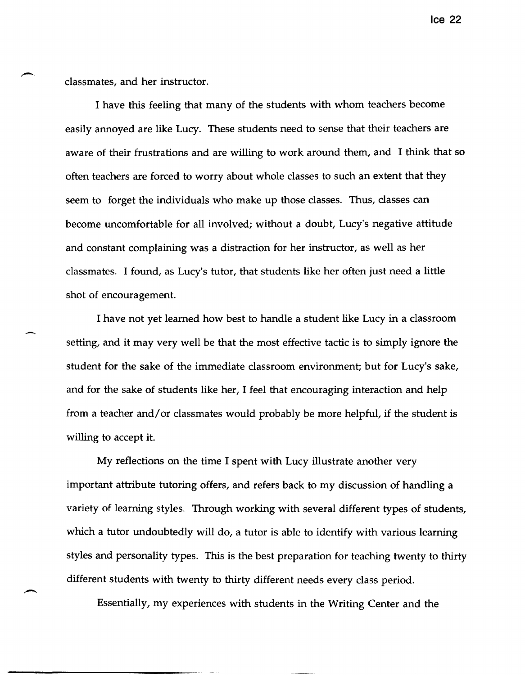classmates, and her instructor.

,-

I have this feeling that many of the students with whom teachers become easily annoyed are like Lucy. These students need to sense that their teachers are aware of their frustrations and are willing to work around them, and I think that so often teachers are forced to worry about whole classes to such an extent that they seem to forget the individuals who make up those classes. Thus, classes can become uncomfortable for all involved; without a doubt, Lucy's negative attitude and constant complaining was a distraction for her instructor, as well as her classmates. I found, as Lucy's tutor, that students like her often just need a little shot of encouragement.

I have not yet learned how best to handle a student like Lucy in a classroom setting, and it may very well be that the most effective tactic is to simply ignore the student for the sake of the immediate classroom environment; but for Lucy's sake, and for the sake of students like her, I feel that encouraging interaction and help from a teacher and/or classmates would probably be more helpful, if the student is willing to accept it.

My reflections on the time I spent with Lucy illustrate another very important attribute tutoring offers, and refers back to my discussion of handling a variety of learning styles. Through working with several different types of students, which a tutor undoubtedly will do, a tutor is able to identify with various learning styles and personality types. This is the best preparation for teaching twenty to thirty different students with twenty to thirty different needs every class period.

Essentially, my experiences with students in the Writing Center and the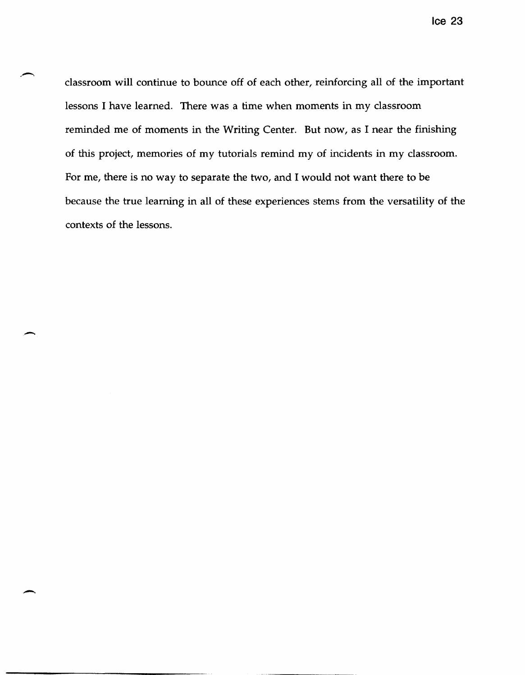classroom will continue to bounce off of each other, reinforcing all of the important lessons I have learned. There was a time when moments in my classroom reminded me of moments in the Writing Center. But now, as I near the finishing of this project, memories of my tutorials remind my of incidents in my classroom. For me, there is no way to separate the two, and I would not want there to be because the true learning in all of these experiences stems from the versatility of the contexts of the lessons.

 $\overline{\phantom{0}}$ 

 $\overline{\phantom{0}}$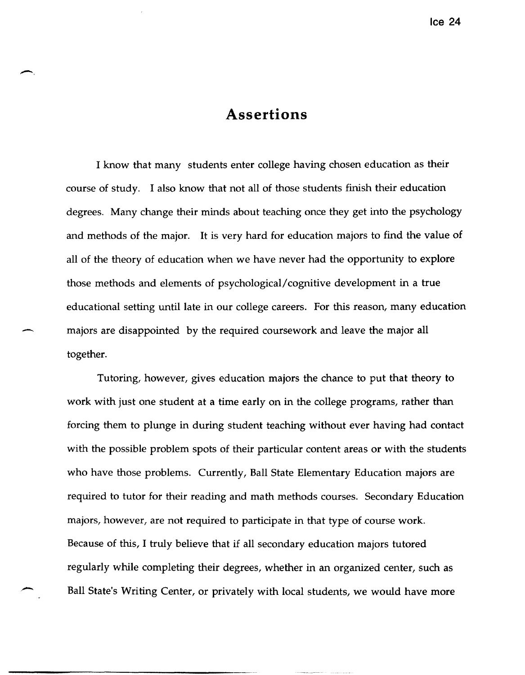### **Assertions**

I know that many students enter college having chosen education as their course of study. I also know that not all of those students finish their education degrees. Many change their minds about teaching once they get into the psychology and methods of the major. It is very hard for education majors to find the value of all of the theory of education when we have never had the opportunity to explore those methods and elements of psychological/cognitive development in a true educational setting until late in our college careers. For this reason, many education majors are disappointed by the required coursework and leave the major all together.

Tutoring, however, gives education majors the chance to put that theory to work with just one student at a time early on in the college programs, rather than forcing them to plunge in during student teaching without ever having had contact with the possible problem spots of their particular content areas or with the students who have those problems. Currently, Ball State Elementary Education majors are required to tutor for their reading and math methods courses. Secondary Education majors, however, are not required to participate in that type of course work. Because of this, I truly believe that if all secondary education majors tutored regularly while completing their degrees, whether in an organized center, such as Ball State's Writing Center, or privately with local students, we would have more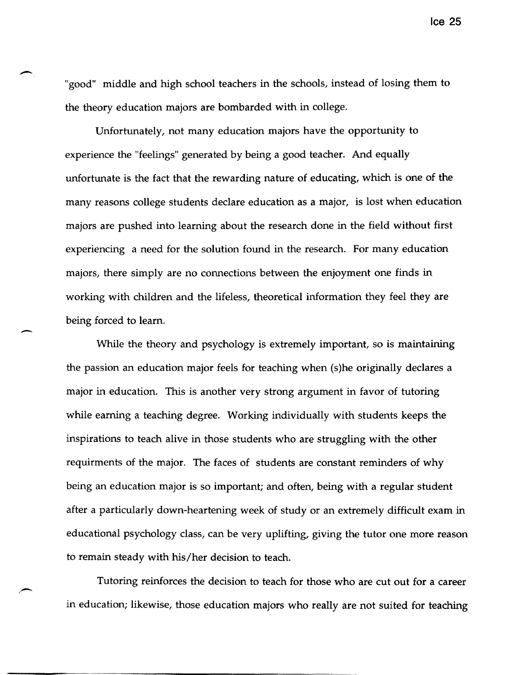"good" middle and high school teachers in the schools, instead of losing them to the theory education majors are bombarded with in college.

Unfortunately, not many education majors have the opportunity to experience the "feelings" generated by being a good teacher. And equally unfortunate is the fact that the rewarding nature of educating, which is one of the many reasons college students declare education as a major, is lost when education majors are pushed into learning about the research done in the field without first experiencing a need for the solution found in the research. For many education majors, there simply are no connections between the enjoyment one finds in working with children and the lifeless, theoretical information they feel they are being forced to learn.

-

"-

While the theory and psychology is extremely important, so is maintaining the passion an education major feels for teaching when (s)he originally declares a major in education. This is another very strong argument in favor of tutoring while earning a teaching degree. Working individually with students keeps the inspirations to teach alive in those students who are struggling with the other requirments of the major. The faces of students are constant reminders of why being an education major is so important; and often, being with a regular student after a particularly down-heartening week of study or an extremely difficult exam in educational psychology class, can be very uplifting, giving the tutor one more reason to remain steady with his/her decision to teach.

Tutoring reinforces the decision to teach for those who are cut out for a career in education; likewise, those education majors who really are not suited for teaching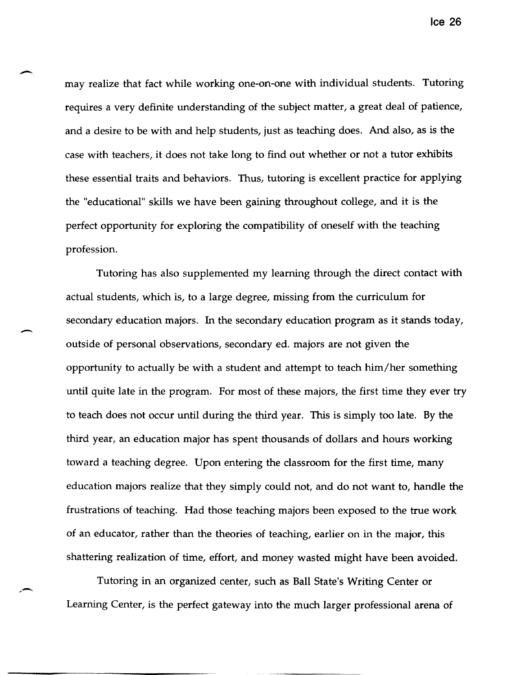may realize that fact while working one-on-one with individual students. Tutoring requires a very definite understanding of the subject matter, a great deal of patience, and a desire to be with and help students, just as teaching does. And also, as is the case with teachers, it does not take long to find out whether or not a tutor exhibits these essential traits and behaviors. Thus, tutoring is excellent practice for applying the "educational" skills we have been gaining throughout college, and it is the perfect opportunity for exploring the compatibility of oneself with the teaching profession.

Tutoring has also supplemented my learning through the direct contact with actual students, which is, to a large degree, missing from the curriculum for secondary education majors. In the secondary education program as it stands today, outside of personal observations, secondary ed. majors are not given the opportunity to actually be with a student and attempt to teach him/her something until quite late in the program. For most of these majors, the first time they ever try to teach does not occur until during the third year. This is simply too late. By the third year, an education major has spent thousands of dollars and hours working toward a teaching degree. Upon entering the classroom for the first time, many education majors realize that they simply could not, and do not want to, handle the frustrations of teaching. Had those teaching majors been exposed to the true work of an educator, rather than the theories of teaching, earlier on in the major, this shattering realization of time, effort, and money wasted might have been avoided.

-

,-

Tutoring in an organized center, such as Ball State's Writing Center or Learning Center, is the perfect gateway into the much larger professional arena of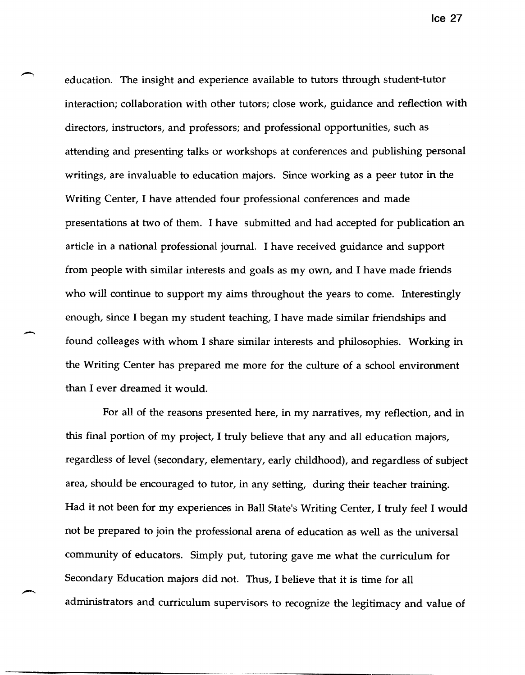education. The insight and experience available to tutors through student-tutor interaction; collaboration with other tutors; close work, guidance and reflection with directors, instructors, and professors; and professional opportunities, such as attending and presenting talks or workshops at conferences and publishing personal writings, are invaluable to education majors. Since working as a peer tutor in the Writing Center, I have attended four professional conferences and made presentations at two of them. I have submitted and had accepted for publication an article in a national professional journal. I have received guidance and support from people with similar interests and goals as my own, and I have made friends who will continue to support my aims throughout the years to come. Interestingly enough, since I began my student teaching, I have made similar friendships and found colleages with whom I share similar interests and philosophies. Working in the Writing Center has prepared me more for the culture of a school environment than I ever dreamed it would.

--

For all of the reasons presented here, in my narratives, my reflection, and in this final portion of my project, I truly believe that any and all education majors, regardless of level (secondary, elementary, early childhood), and regardless of subject area, should be encouraged to tutor, in any setting, during their teacher training. Had it not been for my experiences in Ball State's Writing Center, I truly feel I would not be prepared to join the professional arena of education as well as the universal community of educators. Simply put, tutoring gave me what the curriculum for Secondary Education majors did not. Thus, I believe that it is time for all administrators and curriculum supervisors to recognize the legitimacy and value of